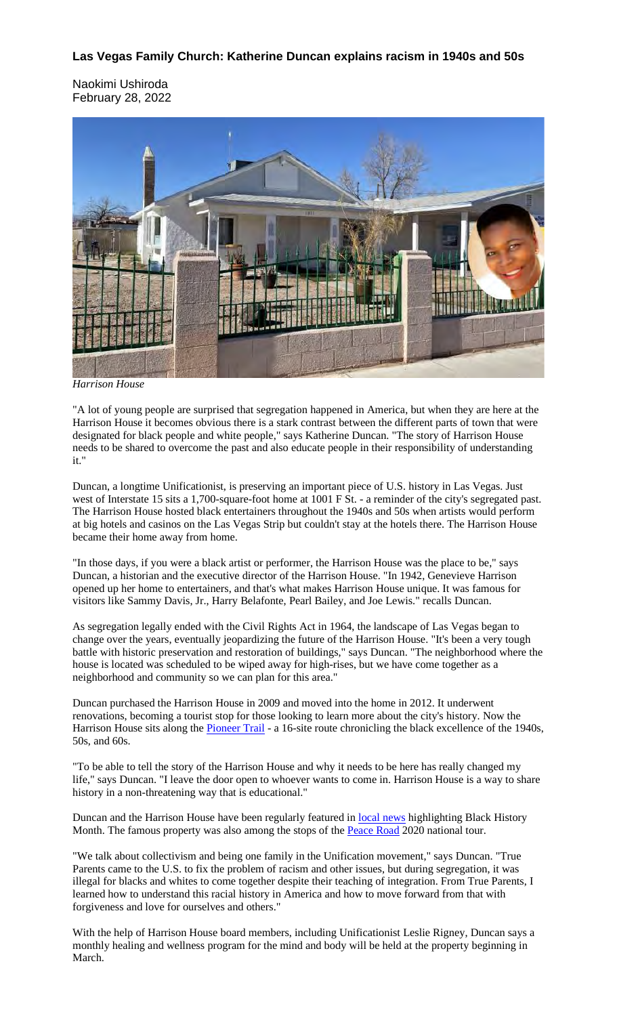#### **Las Vegas Family Church: Katherine Duncan explains racism in 1940s and 50s**

Naokimi Ushiroda February 28, 2022



*Harrison House*

"A lot of young people are surprised that segregation happened in America, but when they are here at the Harrison House it becomes obvious there is a stark contrast between the different parts of town that were designated for black people and white people," says Katherine Duncan. "The story of Harrison House needs to be shared to overcome the past and also educate people in their responsibility of understanding it."

Duncan, a longtime Unificationist, is preserving an important piece of U.S. history in Las Vegas. Just west of Interstate 15 sits a 1,700-square-foot home at 1001 F St. - a reminder of the city's segregated past. The Harrison House hosted black entertainers throughout the 1940s and 50s when artists would perform at big hotels and casinos on the Las Vegas Strip but couldn't stay at the hotels there. The Harrison House became their home away from home.

"In those days, if you were a black artist or performer, the Harrison House was the place to be," says Duncan, a historian and the executive director of the Harrison House. "In 1942, Genevieve Harrison opened up her home to entertainers, and that's what makes Harrison House unique. It was famous for visitors like Sammy Davis, Jr., Harry Belafonte, Pearl Bailey, and Joe Lewis." recalls Duncan.

As segregation legally ended with the Civil Rights Act in 1964, the landscape of Las Vegas began to change over the years, eventually jeopardizing the future of the Harrison House. "It's been a very tough battle with historic preservation and restoration of buildings," says Duncan. "The neighborhood where the house is located was scheduled to be wiped away for high-rises, but we have come together as a neighborhood and community so we can plan for this area."

Duncan purchased the Harrison House in 2009 and moved into the home in 2012. It underwent renovations, becoming a tourist stop for those looking to learn more about the city's history. Now the Harrison House sits along the **Pioneer Trail** - a 16-site route chronicling the black excellence of the 1940s, 50s, and 60s.

"To be able to tell the story of the Harrison House and why it needs to be here has really changed my life," says Duncan. "I leave the door open to whoever wants to come in. Harrison House is a way to share history in a non-threatening way that is educational."

Duncan and the Harrison House have been regularly featured in **local news** highlighting Black History Month. The famous property was also among the stops of the **Peace Road** 2020 national tour.

"We talk about collectivism and being one family in the Unification movement," says Duncan. "True Parents came to the U.S. to fix the problem of racism and other issues, but during segregation, it was illegal for blacks and whites to come together despite their teaching of integration. From True Parents, I learned how to understand this racial history in America and how to move forward from that with forgiveness and love for ourselves and others."

With the help of Harrison House board members, including Unificationist Leslie Rigney, Duncan says a monthly healing and wellness program for the mind and body will be held at the property beginning in March.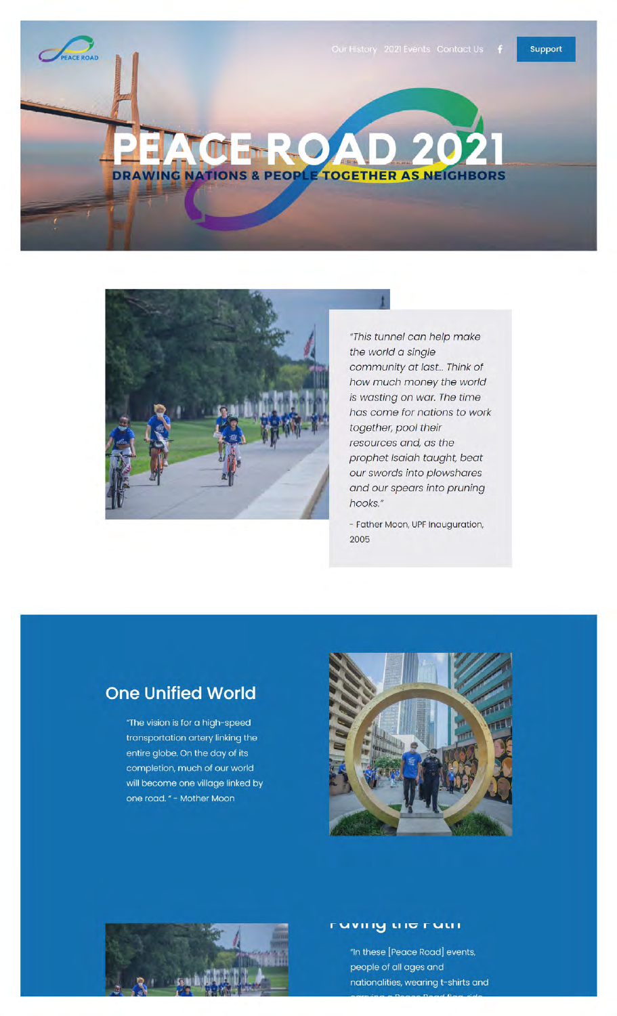



"This tunnel can help make the world a single community at last... Think of how much money the world is wasting on war. The time has come for nations to work together, pool their resources and, as the prophet Isaiah taught, beat our swords into plowshares and our spears into pruning hooks."

- Father Moon, UPF Inauguration, 2005

## **One Unified World**

"The vision is for a high-speed transportation artery linking the entire globe. On the day of its completion, much of our world will become one village linked by one road. " - Mother Moon





#### **ruv11•~1.11c- ruu 1**

"In these [Peace Road] events, people of all ages and nationalities, wearing t-shirts and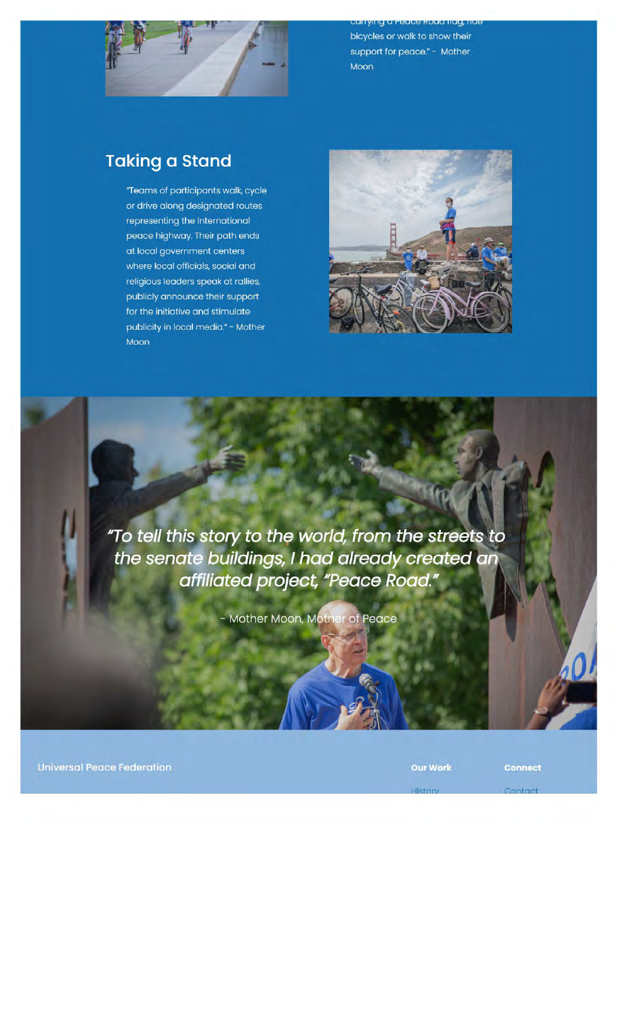

ying a reace koaa nag, nat bicycles or walk to show their support for peace." - Mother Moon

## **Taking a Stand**

"Teams of participants walk, cycle or drive along designated routes representing the International peace highway. Their path ends at local government centers where local officials, social and religious leaders speak at rallies, publicly announce their support for the initiative and stimulate publicity in local media." - Mother Moon



"To tell this story to the world, from the streets to the senate buildings, I had already created an affiliated project, "Peace Road."

- Mother Moon, Mother of Peace

**Universal Peace Federation** 

**Our Work** 

**Connect**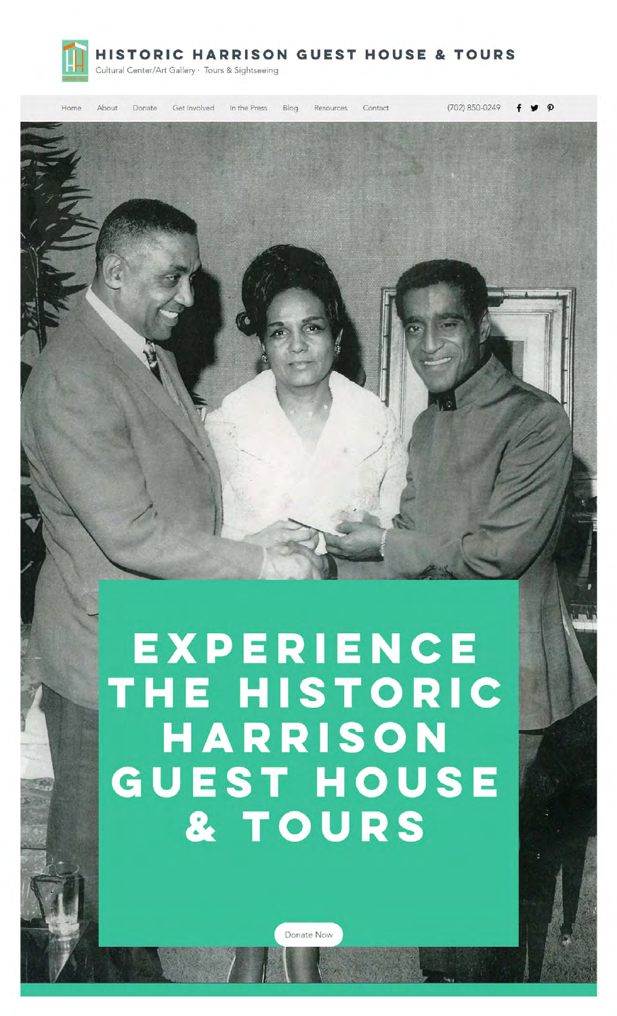

**HISTORIC HARRISON GUEST HOUSE & TOURS** 

Cultural Center/Art Gallery · Tours & Sightseeing

Donate Get Involved In the Press Blog Resources

Contact

(702) 850-0249  $\bullet$   $\circ$ 



# EXPERIENCE THE HISTORIC HARRISON **GUEST HOUSE** & TOURS

Donate Now